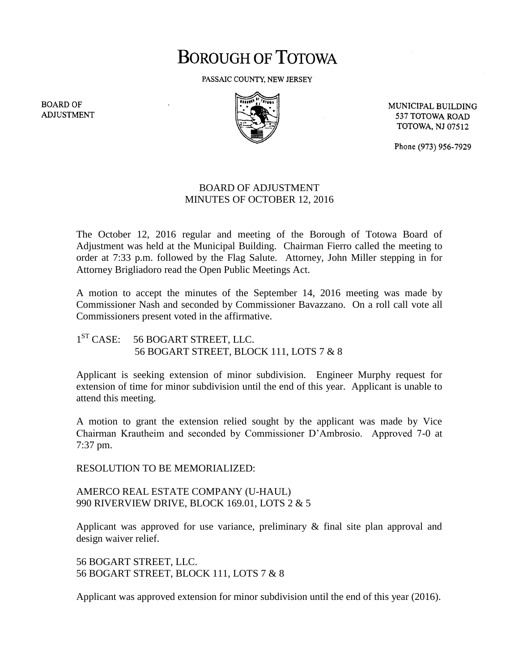## **BOROUGH OF TOTOWA**

PASSAIC COUNTY, NEW JERSEY



MUNICIPAL BUILDING 537 TOTOWA ROAD **TOTOWA, NJ 07512** 

Phone (973) 956-7929

## BOARD OF ADJUSTMENT MINUTES OF OCTOBER 12, 2016

The October 12, 2016 regular and meeting of the Borough of Totowa Board of Adjustment was held at the Municipal Building. Chairman Fierro called the meeting to order at 7:33 p.m. followed by the Flag Salute. Attorney, John Miller stepping in for Attorney Brigliadoro read the Open Public Meetings Act.

A motion to accept the minutes of the September 14, 2016 meeting was made by Commissioner Nash and seconded by Commissioner Bavazzano. On a roll call vote all Commissioners present voted in the affirmative.

 $1^{ST}$  CASE: 56 BOGART STREET, LLC. 56 BOGART STREET, BLOCK 111, LOTS 7 & 8

Applicant is seeking extension of minor subdivision. Engineer Murphy request for extension of time for minor subdivision until the end of this year. Applicant is unable to attend this meeting.

A motion to grant the extension relied sought by the applicant was made by Vice Chairman Krautheim and seconded by Commissioner D'Ambrosio. Approved 7-0 at 7:37 pm.

RESOLUTION TO BE MEMORIALIZED:

AMERCO REAL ESTATE COMPANY (U-HAUL) 990 RIVERVIEW DRIVE, BLOCK 169.01, LOTS 2 & 5

Applicant was approved for use variance, preliminary & final site plan approval and design waiver relief.

56 BOGART STREET, LLC. 56 BOGART STREET, BLOCK 111, LOTS 7 & 8

Applicant was approved extension for minor subdivision until the end of this year (2016).

**BOARD OF ADJUSTMENT**